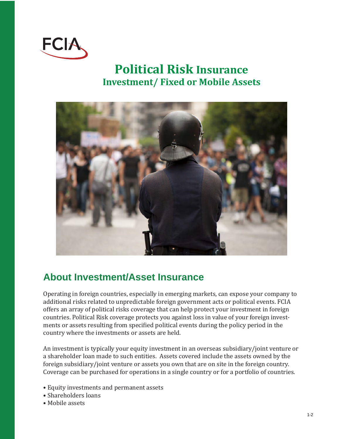

# **Political Risk Insurance Investment/ Fixed or Mobile Assets**



#### **About Investment/Asset Insurance**

Operating in foreign countries, especially in emerging markets, can expose your company to additional risks related to unpredictable foreign government acts or political events. FCIA offers an array of political risks coverage that can help protect your investment in foreign countries. Political Risk coverage protects you against loss in value of your foreign investments or assets resulting from specified political events during the policy period in the country where the investments or assets are held.

An investment is typically your equity investment in an overseas subsidiary/joint venture or a shareholder loan made to such entities. Assets covered include the assets owned by the foreign subsidiary/joint venture or assets you own that are on site in the foreign country. Coverage can be purchased for operations in a single country or for a portfolio of countries.

- Equity investments and permanent assets
- Shareholders loans
- Mobile assets